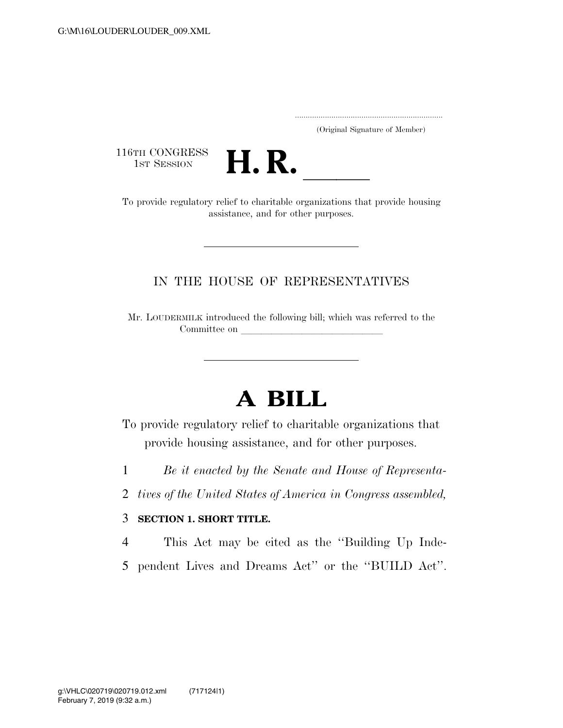..................................................................... (Original Signature of Member)

116TH CONGRESS<br>1st Session



16TH CONGRESS<br>1st SESSION **H. R.** <u>International conducts</u> or provide regulatory relief to charitable organizations that provide housing assistance, and for other purposes.

## IN THE HOUSE OF REPRESENTATIVES

Mr. LOUDERMILK introduced the following bill; which was referred to the Committee on

## **A BILL**

To provide regulatory relief to charitable organizations that provide housing assistance, and for other purposes.

1 *Be it enacted by the Senate and House of Representa-*

2 *tives of the United States of America in Congress assembled,* 

## 3 **SECTION 1. SHORT TITLE.**

4 This Act may be cited as the ''Building Up Inde-

5 pendent Lives and Dreams Act'' or the ''BUILD Act''.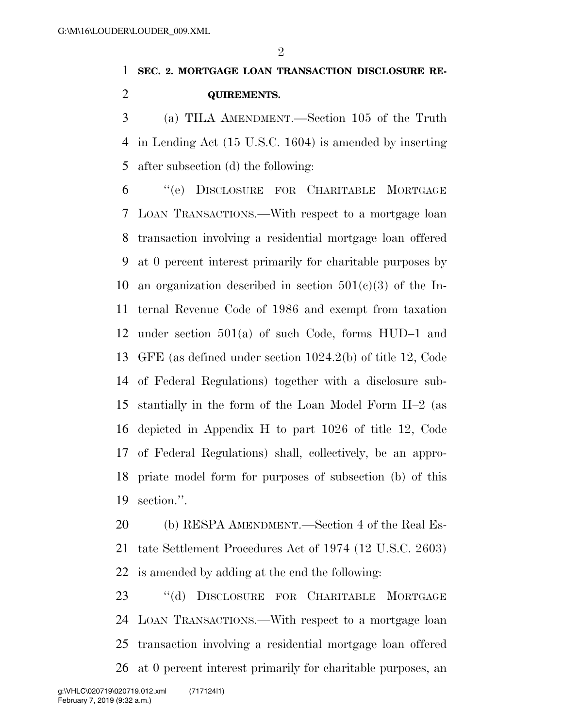$\mathfrak{D}$ 

## **SEC. 2. MORTGAGE LOAN TRANSACTION DISCLOSURE RE-QUIREMENTS.**

 (a) TILA AMENDMENT.—Section 105 of the Truth in Lending Act (15 U.S.C. 1604) is amended by inserting after subsection (d) the following:

 ''(e) DISCLOSURE FOR CHARITABLE MORTGAGE LOAN TRANSACTIONS.—With respect to a mortgage loan transaction involving a residential mortgage loan offered at 0 percent interest primarily for charitable purposes by 10 an organization described in section  $501(c)(3)$  of the In- ternal Revenue Code of 1986 and exempt from taxation under section 501(a) of such Code, forms HUD–1 and GFE (as defined under section 1024.2(b) of title 12, Code of Federal Regulations) together with a disclosure sub- stantially in the form of the Loan Model Form H–2 (as depicted in Appendix H to part 1026 of title 12, Code of Federal Regulations) shall, collectively, be an appro- priate model form for purposes of subsection (b) of this section.''.

 (b) RESPA AMENDMENT.—Section 4 of the Real Es- tate Settlement Procedures Act of 1974 (12 U.S.C. 2603) is amended by adding at the end the following:

 ''(d) DISCLOSURE FOR CHARITABLE MORTGAGE LOAN TRANSACTIONS.—With respect to a mortgage loan transaction involving a residential mortgage loan offered at 0 percent interest primarily for charitable purposes, an